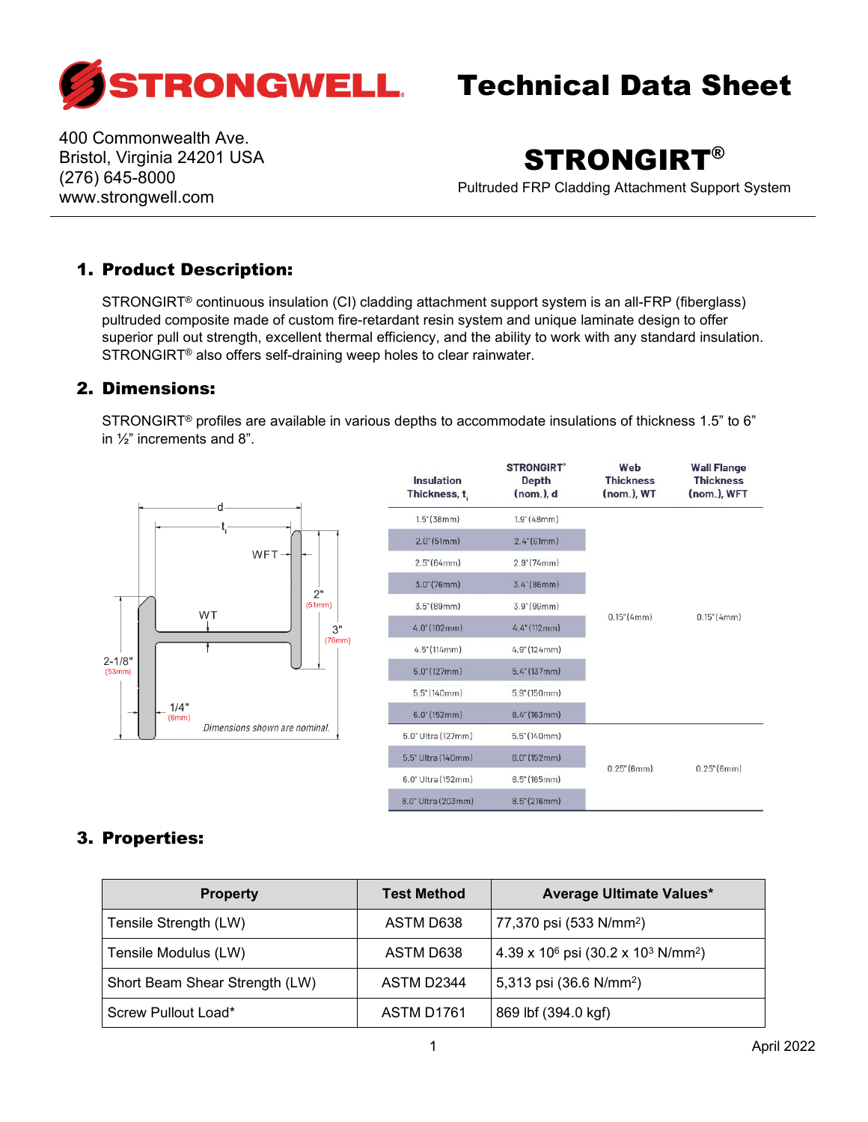

400 Commonwealth Ave. Bristol, Virginia 24201 USA (276) 645-8000 www.strongwell.com

## STRONGIRT®

Pultruded FRP Cladding Attachment Support System

## 1. Product Description:

STRONGIRT® continuous insulation (CI) cladding attachment support system is an all-FRP (fiberglass) pultruded composite made of custom fire-retardant resin system and unique laminate design to offer superior pull out strength, excellent thermal efficiency, and the ability to work with any standard insulation. STRONGIRT® also offers self-draining weep holes to clear rainwater.

### 2. Dimensions:

STRONGIRT® profiles are available in various depths to accommodate insulations of thickness 1.5" to 6" in ½" increments and 8".



| Insulation<br>Thickness, t | <b>STRONGIRT</b><br><b>Depth</b><br>(nom.), d | Web<br><b>Thickness</b><br>(nom.), WT | <b>Wall Flange</b><br><b>Thickness</b><br>(nom.), WFT |
|----------------------------|-----------------------------------------------|---------------------------------------|-------------------------------------------------------|
| $1.5$ " (38mm)             | $1.9^{\circ}$ (48mm)                          |                                       | $0.15$ " (4mm)                                        |
| $2.0^{\circ}$ (51mm)       | $2.4^{\circ}$ (61mm)                          | $0.15$ " (4mm)                        |                                                       |
| $2.5^{\circ}$ (64mm)       | $2.9^{\circ}$ (74mm)                          |                                       |                                                       |
| $3.0^{\circ}$ (76mm)       | $3.4^{\circ}$ (86mm)                          |                                       |                                                       |
| $3.5^{\circ}$ (89mm)       | 3.9" (99mm)                                   |                                       |                                                       |
| 4.0" (102mm)               | $4.4$ " (112mm)                               |                                       |                                                       |
| $4.5$ " (114mm)            | $4.9$ " (124mm)                               |                                       |                                                       |
| $5.0^{\circ}(127mm)$       | $5.4$ " (137mm)                               |                                       |                                                       |
| $5.5$ " (140mm)            | 5.9''(150mm)                                  |                                       |                                                       |
| 6.0" (152mm)               | $6.4$ (163mm)                                 |                                       |                                                       |
| 5.0" Ultra (127mm)         | $5.5^{\circ}(140mm)$                          |                                       |                                                       |
| 5.5" Ultra (140mm)         | $6.0^{\circ}$ (152mm)                         | $0.25$ " (6mm)<br>$0.25$ " (6mm)      |                                                       |
| 6.0" Ultra (152mm)         | 6.5''(165mm)                                  |                                       |                                                       |
| 8.0" Ultra (203mm)         | $8.5^{\circ}(216mm)$                          |                                       |                                                       |

### 3. Properties:

| <b>Property</b>                | <b>Test Method</b> | <b>Average Ultimate Values*</b>                                    |
|--------------------------------|--------------------|--------------------------------------------------------------------|
| Tensile Strength (LW)          | ASTM D638          | 77,370 psi (533 N/mm <sup>2</sup> )                                |
| Tensile Modulus (LW)           | ASTM D638          | $4.39 \times 10^6$ psi (30.2 x 10 <sup>3</sup> N/mm <sup>2</sup> ) |
| Short Beam Shear Strength (LW) | ASTM D2344         | 5,313 psi (36.6 N/mm <sup>2</sup> )                                |
| Screw Pullout Load*            | ASTM D1761         | 869 lbf (394.0 kgf)                                                |